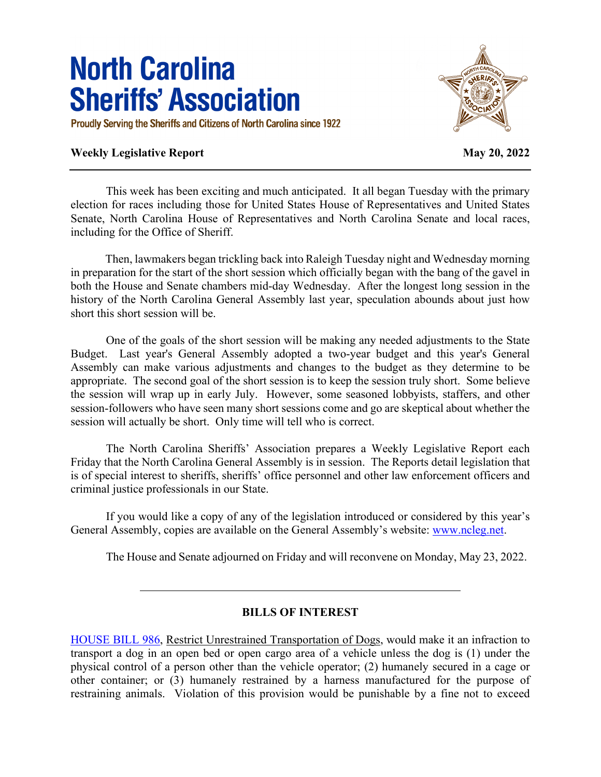## **North Carolina Sheriffs' Association**

Proudly Serving the Sheriffs and Citizens of North Carolina since 1922

## **Weekly Legislative Report May 20, 2022**



This week has been exciting and much anticipated. It all began Tuesday with the primary election for races including those for United States House of Representatives and United States Senate, North Carolina House of Representatives and North Carolina Senate and local races, including for the Office of Sheriff.

 Then, lawmakers began trickling back into Raleigh Tuesday night and Wednesday morning in preparation for the start of the short session which officially began with the bang of the gavel in both the House and Senate chambers mid-day Wednesday. After the longest long session in the history of the North Carolina General Assembly last year, speculation abounds about just how short this short session will be.

One of the goals of the short session will be making any needed adjustments to the State Budget. Last year's General Assembly adopted a two-year budget and this year's General Assembly can make various adjustments and changes to the budget as they determine to be appropriate. The second goal of the short session is to keep the session truly short. Some believe the session will wrap up in early July. However, some seasoned lobbyists, staffers, and other session-followers who have seen many short sessions come and go are skeptical about whether the session will actually be short. Only time will tell who is correct.

The North Carolina Sheriffs' Association prepares a Weekly Legislative Report each Friday that the North Carolina General Assembly is in session. The Reports detail legislation that is of special interest to sheriffs, sheriffs' office personnel and other law enforcement officers and criminal justice professionals in our State.

If you would like a copy of any of the legislation introduced or considered by this year's General Assembly, copies are available on the General Assembly's website: www.ncleg.net.

The House and Senate adjourned on Friday and will reconvene on Monday, May 23, 2022.

## **BILLS OF INTEREST**

[HOUSE BILL 986,](https://www.ncleg.gov/BillLookUp/2021/HB986) Restrict Unrestrained Transportation of Dogs, would make it an infraction to transport a dog in an open bed or open cargo area of a vehicle unless the dog is (1) under the physical control of a person other than the vehicle operator; (2) humanely secured in a cage or other container; or (3) humanely restrained by a harness manufactured for the purpose of restraining animals. Violation of this provision would be punishable by a fine not to exceed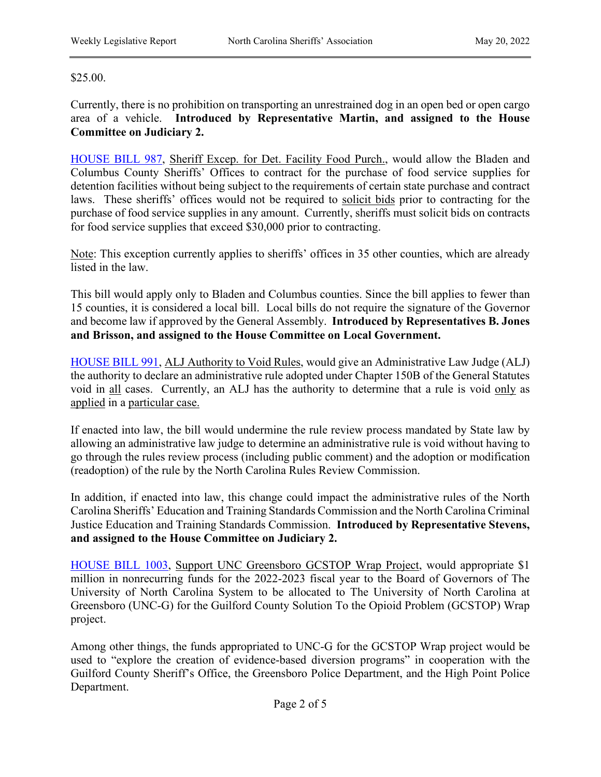## \$25.00.

Currently, there is no prohibition on transporting an unrestrained dog in an open bed or open cargo area of a vehicle. **Introduced by Representative Martin, and assigned to the House Committee on Judiciary 2.**

[HOUSE BILL 987,](https://www.ncleg.gov/BillLookUp/2021/HB987) Sheriff Excep. for Det. Facility Food Purch., would allow the Bladen and Columbus County Sheriffs' Offices to contract for the purchase of food service supplies for detention facilities without being subject to the requirements of certain state purchase and contract laws. These sheriffs' offices would not be required to solicit bids prior to contracting for the purchase of food service supplies in any amount. Currently, sheriffs must solicit bids on contracts for food service supplies that exceed \$30,000 prior to contracting.

Note: This exception currently applies to sheriffs' offices in 35 other counties, which are already listed in the law.

This bill would apply only to Bladen and Columbus counties. Since the bill applies to fewer than 15 counties, it is considered a local bill. Local bills do not require the signature of the Governor and become law if approved by the General Assembly. **Introduced by Representatives B. Jones and Brisson, and assigned to the House Committee on Local Government.**

[HOUSE BILL 991,](https://www.ncleg.gov/BillLookUp/2021/HB991) ALJ Authority to Void Rules, would give an Administrative Law Judge (ALJ) the authority to declare an administrative rule adopted under Chapter 150B of the General Statutes void in all cases. Currently, an ALJ has the authority to determine that a rule is void only as applied in a particular case.

If enacted into law, the bill would undermine the rule review process mandated by State law by allowing an administrative law judge to determine an administrative rule is void without having to go through the rules review process (including public comment) and the adoption or modification (readoption) of the rule by the North Carolina Rules Review Commission.

In addition, if enacted into law, this change could impact the administrative rules of the North Carolina Sheriffs' Education and Training Standards Commission and the North Carolina Criminal Justice Education and Training Standards Commission. **Introduced by Representative Stevens, and assigned to the House Committee on Judiciary 2.**

[HOUSE BILL 1003,](https://www.ncleg.gov/BillLookUp/2021/H1003) Support UNC Greensboro GCSTOP Wrap Project, would appropriate \$1 million in nonrecurring funds for the 2022-2023 fiscal year to the Board of Governors of The University of North Carolina System to be allocated to The University of North Carolina at Greensboro (UNC-G) for the Guilford County Solution To the Opioid Problem (GCSTOP) Wrap project.

Among other things, the funds appropriated to UNC-G for the GCSTOP Wrap project would be used to "explore the creation of evidence-based diversion programs" in cooperation with the Guilford County Sheriff's Office, the Greensboro Police Department, and the High Point Police Department.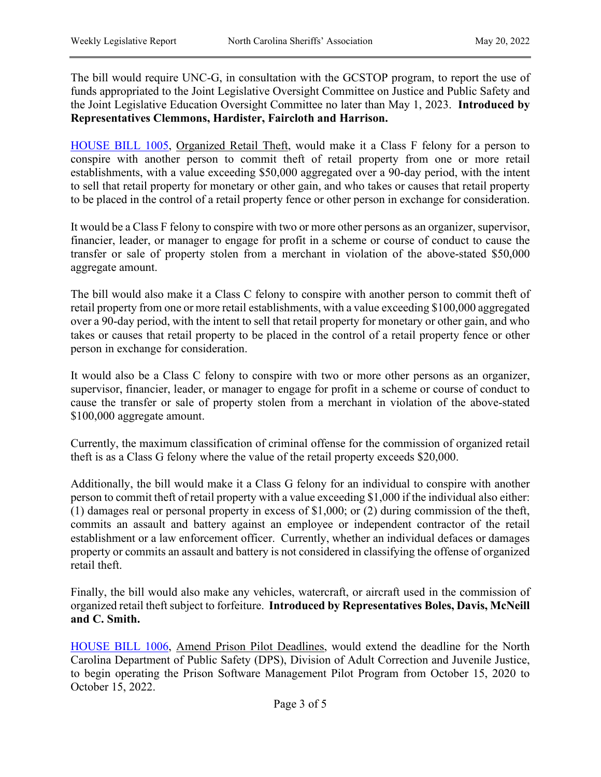The bill would require UNC-G, in consultation with the GCSTOP program, to report the use of funds appropriated to the Joint Legislative Oversight Committee on Justice and Public Safety and the Joint Legislative Education Oversight Committee no later than May 1, 2023. **Introduced by Representatives Clemmons, Hardister, Faircloth and Harrison.**

[HOUSE BILL 1005,](https://www.ncleg.gov/BillLookUp/2021/H1005) Organized Retail Theft, would make it a Class F felony for a person to conspire with another person to commit theft of retail property from one or more retail establishments, with a value exceeding \$50,000 aggregated over a 90-day period, with the intent to sell that retail property for monetary or other gain, and who takes or causes that retail property to be placed in the control of a retail property fence or other person in exchange for consideration.

It would be a Class F felony to conspire with two or more other persons as an organizer, supervisor, financier, leader, or manager to engage for profit in a scheme or course of conduct to cause the transfer or sale of property stolen from a merchant in violation of the above-stated \$50,000 aggregate amount.

The bill would also make it a Class C felony to conspire with another person to commit theft of retail property from one or more retail establishments, with a value exceeding \$100,000 aggregated over a 90-day period, with the intent to sell that retail property for monetary or other gain, and who takes or causes that retail property to be placed in the control of a retail property fence or other person in exchange for consideration.

It would also be a Class C felony to conspire with two or more other persons as an organizer, supervisor, financier, leader, or manager to engage for profit in a scheme or course of conduct to cause the transfer or sale of property stolen from a merchant in violation of the above-stated \$100,000 aggregate amount.

Currently, the maximum classification of criminal offense for the commission of organized retail theft is as a Class G felony where the value of the retail property exceeds \$20,000.

Additionally, the bill would make it a Class G felony for an individual to conspire with another person to commit theft of retail property with a value exceeding \$1,000 if the individual also either: (1) damages real or personal property in excess of \$1,000; or (2) during commission of the theft, commits an assault and battery against an employee or independent contractor of the retail establishment or a law enforcement officer. Currently, whether an individual defaces or damages property or commits an assault and battery is not considered in classifying the offense of organized retail theft.

Finally, the bill would also make any vehicles, watercraft, or aircraft used in the commission of organized retail theft subject to forfeiture. **Introduced by Representatives Boles, Davis, McNeill and C. Smith.**

[HOUSE BILL 1006,](https://www.ncleg.gov/BillLookUp/2021/H1006) Amend Prison Pilot Deadlines, would extend the deadline for the North Carolina Department of Public Safety (DPS), Division of Adult Correction and Juvenile Justice, to begin operating the Prison Software Management Pilot Program from October 15, 2020 to October 15, 2022.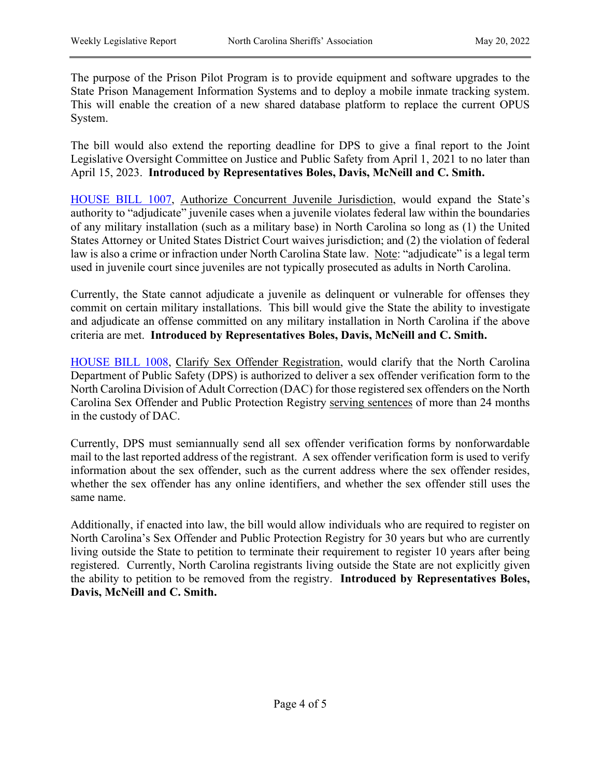The purpose of the Prison Pilot Program is to provide equipment and software upgrades to the State Prison Management Information Systems and to deploy a mobile inmate tracking system. This will enable the creation of a new shared database platform to replace the current OPUS System.

The bill would also extend the reporting deadline for DPS to give a final report to the Joint Legislative Oversight Committee on Justice and Public Safety from April 1, 2021 to no later than April 15, 2023. **Introduced by Representatives Boles, Davis, McNeill and C. Smith.**

[HOUSE BILL 1007,](https://www.ncleg.gov/BillLookUp/2021/HB1007) Authorize Concurrent Juvenile Jurisdiction, would expand the State's authority to "adjudicate" juvenile cases when a juvenile violates federal law within the boundaries of any military installation (such as a military base) in North Carolina so long as (1) the United States Attorney or United States District Court waives jurisdiction; and (2) the violation of federal law is also a crime or infraction under North Carolina State law. Note: "adjudicate" is a legal term used in juvenile court since juveniles are not typically prosecuted as adults in North Carolina.

Currently, the State cannot adjudicate a juvenile as delinquent or vulnerable for offenses they commit on certain military installations. This bill would give the State the ability to investigate and adjudicate an offense committed on any military installation in North Carolina if the above criteria are met. **Introduced by Representatives Boles, Davis, McNeill and C. Smith.**

[HOUSE BILL 1008,](https://www.ncleg.gov/BillLookUp/2021/HB1008) Clarify Sex Offender Registration, would clarify that the North Carolina Department of Public Safety (DPS) is authorized to deliver a sex offender verification form to the North Carolina Division of Adult Correction (DAC) for those registered sex offenders on the North Carolina Sex Offender and Public Protection Registry serving sentences of more than 24 months in the custody of DAC.

Currently, DPS must semiannually send all sex offender verification forms by nonforwardable mail to the last reported address of the registrant. A sex offender verification form is used to verify information about the sex offender, such as the current address where the sex offender resides, whether the sex offender has any online identifiers, and whether the sex offender still uses the same name.

Additionally, if enacted into law, the bill would allow individuals who are required to register on North Carolina's Sex Offender and Public Protection Registry for 30 years but who are currently living outside the State to petition to terminate their requirement to register 10 years after being registered. Currently, North Carolina registrants living outside the State are not explicitly given the ability to petition to be removed from the registry. **Introduced by Representatives Boles, Davis, McNeill and C. Smith.**